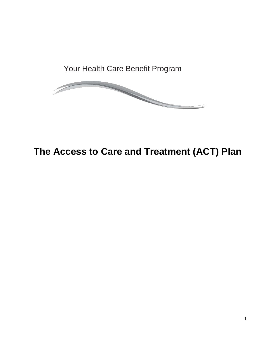Your Health Care Benefit Program



# **The Access to Care and Treatment (ACT) Plan**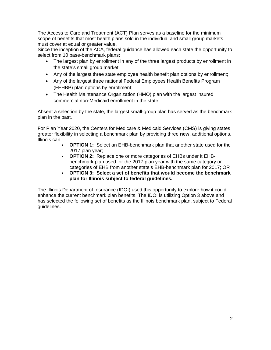The Access to Care and Treatment (ACT) Plan serves as a baseline for the minimum scope of benefits that most health plans sold in the individual and small group markets must cover at equal or greater value.

Since the inception of the ACA, federal guidance has allowed each state the opportunity to select from 10 base-benchmark plans:

- The largest plan by enrollment in any of the three largest products by enrollment in the state's small group market;
- Any of the largest three state employee health benefit plan options by enrollment;
- Any of the largest three national Federal Employees Health Benefits Program (FEHBP) plan options by enrollment;
- The Health Maintenance Organization (HMO) plan with the largest insured commercial non-Medicaid enrollment in the state.

Absent a selection by the state, the largest small-group plan has served as the benchmark plan in the past.

For Plan Year 2020, the Centers for Medicare & Medicaid Services (CMS) is giving states greater flexibility in selecting a benchmark plan by providing three **new**, additional options. Illinois can:

- **OPTION 1:** Select an EHB-benchmark plan that another state used for the 2017 plan year;
- **OPTION 2:** Replace one or more categories of EHBs under it EHBbenchmark plan used for the 2017 plan year with the same category or categories of EHB from another state's EHB-benchmark plan for 2017; OR
- **OPTION 3: Select a set of benefits that would become the benchmark plan for Illinois subject to federal guidelines.**

The Illinois Department of Insurance (IDOI) used this opportunity to explore how it could enhance the current benchmark plan benefits. The IDOI is utilizing Option 3 above and has selected the following set of benefits as the Illinois benchmark plan, subject to Federal guidelines.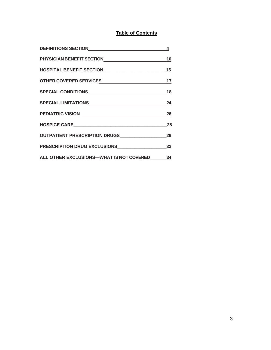# **Table of Contents**

| DEFINITIONS SECTION                                                                                                                                                                                                           | 4              |                                  |  |
|-------------------------------------------------------------------------------------------------------------------------------------------------------------------------------------------------------------------------------|----------------|----------------------------------|--|
| PHYSICIAN BENEFIT SECTIONNALL CONTROL CONTROL CONTROL CONTROL CONTROL CONTROL CONTROL CONTROL CONTROL CONTROL CONTROL CONTROL CONTROL CONTROL CONTROL CONTROL CONTROL CONTROL CONTROL CONTROL CONTROL CONTROL CONTROL CONTROL |                |                                  |  |
| HOSPITAL BENEFIT SECTIONNNALLO AND THE RESERVE THE RESERVE THAT AND THE RESERVE THE RESERVE THAT AND THE RESERVE THAT AND RESERVE THE RESERVE THAT AND RESERVE THE RESERVE THAT AND RESERVE THE RESERVE THAT AND RESERVE THAT | 15             |                                  |  |
| OTHER COVERED SERVICES 17                                                                                                                                                                                                     |                |                                  |  |
|                                                                                                                                                                                                                               |                |                                  |  |
|                                                                                                                                                                                                                               | 24<br>26<br>28 |                                  |  |
|                                                                                                                                                                                                                               |                | OUTPATIENT PRESCRIPTION DRUGS 29 |  |
|                                                                                                                                                                                                                               |                | PRESCRIPTION DRUG EXCLUSIONS 33  |  |
| ALL OTHER EXCLUSIONS-WHAT IS NOT COVERED 34                                                                                                                                                                                   |                |                                  |  |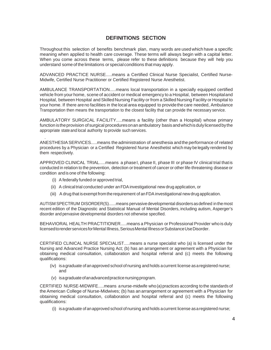# **DEFINITIONS SECTION**

Throughout this selection of benefits benchmark plan, many words are used which have a specific meaning when applied to health care coverage. These terms will always begin with a capital letter. When you come across these terms, please refer to these definitions because they will help you understand some of the limitations or special conditions that may apply.

ADVANCED PRACTICE NURSE.....means a Certified Clinical Nurse Specialist, Certified Nurse-Midwife, Certified Nurse Practitioner or Certified Registered Nurse Anesthetist.

AMBULANCE TRANSPORTATION.....means local transportation in a specially equipped certified vehicle from your home, scene of accident or medical emergency to a Hospital, between Hospitaland Hospital, between Hospital and Skilled Nursing Facility or from a Skilled Nursing Facility or Hospital to your home. If there areno facilities in the local area equipped to providethe care needed, Ambulance Transportation then means the transportation to the closest facility that can provide the necessary service.

AMBULATORY SURGICAL FACILITY.....means a facility (other than a Hospital) whose primary function istheprovision of surgical proceduresonan ambulatory basisandwhichisdulylicensedbythe appropriate state and local authority to provide such services.

ANESTHESIASERVICES.....means the administration of anesthesia andthe performance of related procedures by a Physician or a Certified Registered Nurse Anesthetist which may be legally rendered by them respectively.

APPROVED CLINICAL TRIAL.....means a phase I, phase II, phase III or phase IV clinical trial that is conducted in relation to the prevention, detection or treatment of cancer or other life-threatening disease or condition andis one of the following:

(i) A federally funded orapproved trial,

.

- (ii) A clinicaltrial conducted under anFDA investigational new drug application, or
- (iii) A drug that is exempt from the requirement of an FDA investigational new drug application.

AUTISM SPECTRUM DISORDER(S)......means pervasivedevelopmental disordersasdefined in themost recent edition of the Diagnostic and Statistical Manual of Mental Disorders, including autism, Asperger's disorder and pervasive developmental disorders not otherwise specified.

BEHAVIORAL HEALTH PRACTITIONER.....means a Physician or Professional Provider who is duly licensed to render services for Mental Illness, Serious Mental Illness or Substance Use Disorder.

CERTIFIED CLINICAL NURSE SPECIALIST.....means a nurse specialist who (a) is licensed under the Nursing and Advanced Practice Nursing Act; (b) has an arrangement or agreement with a Physician for obtaining medical consultation, collaboration and hospital referral and (c) meets the following qualifications:

- (iv) is a graduate of an approved school of nursing and holds a current license as a registered nurse; and
- (v) is a graduate of an advanced practice nursing program.

CERTIFIED NURSE-MIDWIFE.....means a nurse-midwife who(a)practices according to the standards of the American College of Nurse-Midwives; (b) has an arrangement or agreement with a Physician for obtaining medical consultation, collaboration and hospital referral and (c) meets the following qualifications:

(i) isagraduate ofanapproved school ofnursing and holds acurrent license asaregistered nurse;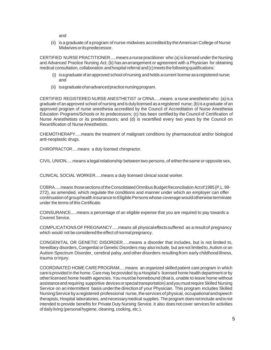and

(ii) is a graduate of a program of nurse-midwives accreditedby theAmerican College of Nurse Midwives or its predecessor.

CERTIFIED NURSE PRACTITIONER.....means a nurse practitioner who (a) is licensed under the Nursing and Advanced Practice Nursing Act; (b) has anarrangement or agreement with a Physician for obtaining medical consultation, collaboration and hospital referral and (c) meets the following qualifications:

- (i) isagraduate ofanapproved school ofnursing and holds acurrent license asaregistered nurse; and
- (ii) is a graduate of an advanced practice nursing program.

CERTIFIED REGISTERED NURSE ANESTHETIST or CRNA.....means a nurse anesthetist who: (a)is a graduate of an approved school of nursing and is duly licensed as a registered nurse; (b) is a graduate of an approved program of nurse anesthesia accredited by the Council of Accreditation of Nurse Anesthesia Education Programs/Schools or its predecessors; (c) has been certified by the Council of Certification of Nurse Anesthetists or its predecessors; and (d) is recertified every two years by the Council on Recertification of Nurse Anesthetists.

CHEMOTHERAPY.....means the treatment of malignant conditions by pharmaceutical and/or biological anti-neoplastic drugs.

CHIROPRACTOR.....means a duly licensed chiropractor.

CIVIL UNION.....means a legalrelationship between two persons, of eitherthesame or opposite sex,

CLINICAL SOCIAL WORKER.....means a duly licensed clinical social worker.

COBRA.....means thosesectionsoftheConsolidatedOmnibusBudgetReconciliation Actof1985(P.L.99- 272), as amended, which regulate the conditions and manner under which an employer can offer continuation of grouphealth insurance to Eligible Persons whose coverage would otherwise terminate under the terms of this Certificate.

COINSURANCE.....means a percentage of an eligible expense that you are required to pay towards a Covered Service.

COMPLICATIONSOF PREGNANCY.....means all physicaleffectssuffered as a resultof pregnancy which would not be considered the effect of normal pregnancy.

CONGENITAL OR GENETIC DISORDER.....means a disorder that includes, but is not limited to, hereditary disorders, Congenital or Genetic Disorders may also include, but are not limited to, Autism or an Autism Spectrum Disorder, cerebral palsy, and other disorders resulting from early childhood illness, trauma orinjury.

COORDINATED HOME CAREPROGRAM.....means an organized skilled patient care program in which care is provided in the home. Care may be provided by a Hospital's licensed home health department or by otherlicensed home health agencies.You mustbe homebound (thatis, unable to leave home without assistanceand requiring supportive devices orspecialtransportation) andyou mustrequireSkilled Nursing Service on an intermittent basis underthe directionof your Physician. This program includes Skilled NursingService by a registered professional nurse, theservices of physical, occupational andspeech therapists, Hospital laboratories, and necessarymedical supplies. The program doesnotinclude andisnot intended to provide benefits for Private Duty Nursing Service. It also does not cover services for activities of daily living (personalhygiene, cleaning, cooking, etc.).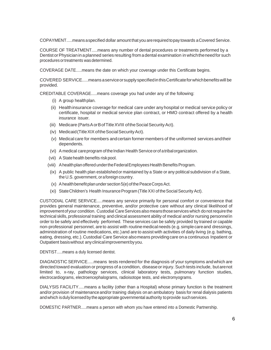COPAYMENT.....meansaspecified dollar amount that you arerequired topay towards aCovered Service.

COURSE OF TREATMENT.....means any number of dental procedures or treatments performed by a DentistorPhysicianin aplanned series resulting fromadental examination in whichtheneedfor such procedures or treatments was determined.

COVERAGE DATE.....means the date on which your coverage under this Certificate begins.

COVERED SERVICE.....means aserviceorsupplyspecifiedinthisCertificateforwhichbenefitswill be provided.

CREDITABLE COVERAGE.....means coverage you had under any of the following:

- (i) A group healthplan.
- (ii) Healthinsurance coverage for medical care under anyhospital or medical service policy or certificate, hospital or medical service plan contract, or HMO contract offered by a health insurance issuer.
- (iii) Medicare (PartsAorBofTitleXVIII oftheSocialSecurityAct).
- (iv) Medicaid (Title XIX of the Social Security Act).
- (v) Medical care for members andcertain former members of the uniformed services andtheir dependents.
- (vi) A medical careprogram of the Indian Health Service or of a tribal organization.
- (vii) A State health benefits risk pool.
- (viii) A health plan offered under the Federal Employees Health Benefits Program.
- (ix) A public health plan establishedor maintained by a State or any political subdivision of a State, the U.S. government, oraforeign country.
- $(x)$  A health benefit plan under section  $5(e)$  of the Peace Corps Act.
- (xi) State Children's Health Insurance Program (Title XXI of the Social Security Act).

CUSTODIAL CARE SERVICE.....means any service primarily for personal comfort or convenience that provides general maintenance, preventive, and/or protective care without any clinical likelihood of improvement of your condition. Custodial Care Services also means those services which do not require the technical skills, professional training and clinical assessment ability of medical and/or nursing personnel in order to be safely and effectively performed. These services can be safely provided by trained or capable non-professional personnel, are to assist with routine medical needs (e.g. simple care and dressings, administration of routine medications, etc.) and are to assist with activities of daily living (e.g. bathing, eating, dressing, etc.).Custodial Care Service alsomeans providingcare on a continuous Inpatient or Outpatient basiswithout any clinicalimprovementbyyou.

DENTIST.....means a duly licensed dentist.

DIAGNOSTIC SERVICE.....means tests rendered for the diagnosis of your symptoms andwhich are directed toward evaluation or progress of a condition, diseaseorinjury. Such tests include, butarenot limited to, x-ray, pathology services, clinical laboratory tests, pulmonary function studies, electrocardiograms, electroencephalograms, radioisotope tests, and electromyograms.

DIALYSIS FACILITY.....means a facility (other than a Hospital) whose primary function is the treatment and/or provision of maintenance and/or training dialysis on an ambulatory basis for renal dialysis patients andwhich isdulylicensedbytheappropriate governmental authority toprovide suchservices.

DOMESTIC PARTNER.....means a person with whom you have entered into a Domestic Partnership.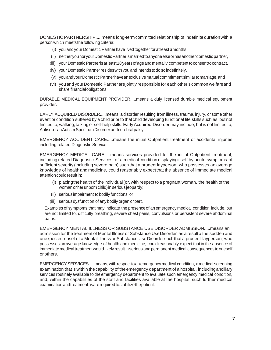DOMESTIC PARTNERSHIP.....means long-termcommitted relationship of indefinite durationwith a person which meetsthe following criteria:

- (i) you andyour Domestic Partnerhavelivedtogetherfor at least6months,
- (ii) neitheryounoryourDomesticPartnerismarriedtoanyoneelseorhasanotherdomestic partner,
- (iii) your DomesticPartnerisatleast18yearsofageandmentally competent toconsenttocontract,
- (iv) your Domestic Partnerresideswithyou andintends todo soindefinitely,
- (v) you and your Domestic Partner have an exclusive mutual commitment similar to marriage, and
- (vi) youand yourDomestic Partner arejointly responsible for each other's common welfareand share financialobligations.

DURABLE MEDICAL EQUIPMENT PROVIDER.....means a duly licensed durable medical equipment provider.

EARLY ACQUIRED DISORDER.....means a disorder resulting from illness, trauma, injury, or some other event or condition suffered by a child prior to thatchild developing functional life skills such as, but not limited to, walking, talking or self-help skills. Early Acquired Disorder may include, but is not limited to, AutismoranAutism SpectrumDisorder andcerebralpalsy.

EMERGENCY ACCIDENT CARE.....means the initial Outpatient treatment of accidental injuries including related Diagnostic Service.

EMERGENCY MEDICAL CARE.....means services provided for the initial Outpatient treatment, including related Diagnostic Services, of a medical condition displaying itself by acute symptoms of sufficient severity (including severe pain) such that a prudentlayperson, who possesses an average knowledge of healthand medicine, could reasonably expectthat the absence of immediate medical attention could result in:

- (i) placingthehealth of theindividual(or, with respect to a pregnant woman, the health of the woman or her unborn child) in serious jeopardy;
- (ii) serious impairment tobodily functions; or
- (iii) serious dysfunction of any bodily organ or part.

Examples of symptoms that may indicate the presenceof an emergency medical condition include, but are not limited to, difficulty breathing, severe chest pains, convulsions or persistent severe abdominal pains.

EMERGENCY MENTAL ILLNESS OR SUBSTANCE USE DISORDER ADMISSION.....means an admission for the treatment of Mental Illness or Substance Use Disorder as a result of the sudden and unexpected onset of a Mental Illness or Substance UseDisordersuchthat a prudent layperson, who possesses an average knowledge of health and medicine, could reasonably expect that in the absence of immediate medical treatment would likely result in serious and permanent medical consequences to oneself or others.

EMERGENCY SERVICES.....means, with respect to an emergency medical condition, a medical screening examination that is within the capability of the emergency department of a hospital, including ancillary services routinely available to the emergency department to evaluate such emergency medical condition, and, within the capabilities of the staff and facilities available at the hospital, such further medical examination andtreatmentasarerequired tostabilizethepatient.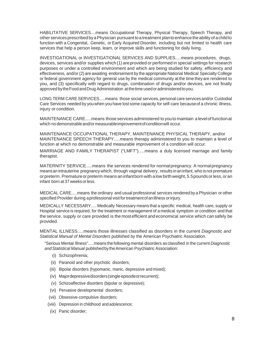HABILITATIVE SERVICES....means Occupational Therapy, Physical Therapy, Speech Therapy, and other services prescribed by a Physician pursuant to a treatment planto enhance the ability of a child to function with a Congenital, Genetic, or Early Acquired Disorder, including but not limited to health care services that help a person keep, learn, or improve skills and functioning for daily living.

INVESTIGATIONAL or INVESTIGATIONAL SERVICES AND SUPPLIES.....means procedures, drugs, devices, services and/or supplies which (1) areprovided or performed in special settings for research purposes or under a controlled environment and which are being studied for safety, efficiency and effectiveness, and/or (2) are awaiting endorsement by the appropriate National Medical Specialty College or federal government agency for general use by the medical community at the time they are rendered to you, and (3) specifically with regard to drugs, combination of drugs and/or devices, are not finally approved by the Food and Drug Administration at the time used or administered to you.

LONG TERM CARE SERVICES.....means those social services, personal care servicesand/or Custodial Care Services needed by youwhen youhave lost some capacity for self-care becauseof a chronic illness, injury or condition.

MAINTENANCE CARE.....means thoseservices administered to youto maintain a levelof functionat which no demonstrable and/or measurableimprovement of condition will occur.

MAINTENANCE OCCUPATIONAL THERAPY, MAINTENANCE PHYSICAL THERAPY, and/or MAINTENANCE SPEECH THERAPY.....means therapy administered to you to maintain a level of function at which no demonstrable and measurable improvement of a condition will occur.

MARRIAGE AND FAMILY THERAPIST ("LMFT").....means a duly licensed marriage and family therapist.

MATERNITY SERVICE.....means the services rendered for normalpregnancy. A normalpregnancy meansan intrauterine pregnancy which, through vaginal delivery, results in aninfant, who isnot premature or preterm. Premature or preterm means an infantborn with a low birth weight, 5.5 pounds or less, or an infant born at 37 weeksorless.

MEDICAL CARE.....means the ordinary and usual professional services rendered by a Physician or other specified Provider during aprofessional visit for treatment of an illness or injury.

MEDICALLY NECESSARY..... Medically Necessary means that a specific medical, health care, supply or Hospital service is required, for the treatment or management of a medical symptom or condition and that the service, supply or care provided is the mostefficient andeconomical service which can safely be provided.

MENTAL ILLNESS.....means those illnesses classified as disorders in the current *Diagnostic and Statistical Manual of Mental Disorders* published by the American Psychiatric Association.

"Serious Mental Illness".....means thefollowing mental disorders as classified in the current *Diagnostic andStatistical Manual* publishedbytheAmerican Psychiatric Association:

- (i) Schizophrenia;
- (ii) Paranoid and other psychotic disorders;
- (iii) Bipolar disorders (hypomanic, manic, depressive and mixed);
- (iv) Majordepressivedisorders(single episodeorrecurrent);
- (v) Schizoaffective disorders (bipolar or depressive);
- (vi) Pervasive developmental disorders;
- (vii) Obsessive-compulsive disorders;
- (viii) Depression in childhood and adolescence;
- (ix) Panic disorder;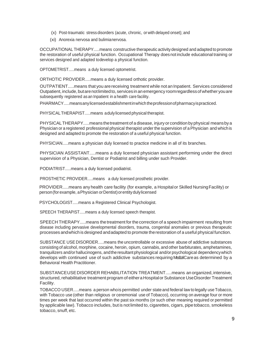- (x) Post-traumatic stressdisorders (acute, chronic, or with delayed onset); and
- (xi) Anorexia nervosa and bulimianervosa.

OCCUPATIONAL THERAPY.....means constructive therapeutic activitydesigned and adapted to promote the restoration of useful physical function. Occupational Therapy doesnot include educational training or services designed and adapted todevelop a physical function.

OPTOMETRIST.....means a duly licensed optometrist.

ORTHOTIC PROVIDER.....means a duly licensed orthotic provider.

OUTPATIENT.....means that you arereceiving treatment while not an Inpatient. Services considered Outpatient,include,butarenotlimitedto,services in an emergency roomregardlessof whether youare subsequently registered as an Inpatient in a health care facility.

PHARMACY.....meansanylicensedestablishmentinwhich theprofessionofpharmacyispracticed.

PHYSICALTHERAPIST.....means adulylicensed physical therapist.

PHYSICALTHERAPY.....means thetreatment of a disease, injury or condition byphysical meansbya Physician or a registered professional physical therapist under the supervision of a Physician and whichis designed and adapted to promote the restoration of a useful physical function.

PHYSICIAN.....means a physician duly licensed to practice medicine in all of its branches.

PHYSICIAN ASSISTANT.....means a duly licensed physician assistant performing under the direct supervision of a Physician, Dentist or Podiatrist and billing under such Provider.

PODIATRIST.....means a duly licensed podiatrist.

PROSTHETIC PROVIDER.....means a duly licensed prosthetic provider.

PROVIDER.....means any health care facility (for example, a Hospitalor Skilled NursingFacility) or person (for example, a Physician or Dentist) or entity duly licensed

PSYCHOLOGIST.....means a Registered Clinical Psychologist.

SPEECH THERAPIST.....means a duly licensed speech therapist.

SPEECH THERAPY.....means thetreatment for thecorrection of a speech impairment resulting from disease including pervasive developmental disorders, trauma, congenital anomalies or previous therapeutic processes andwhich is designed andadapted to promote therestoration of a useful physical function.

SUBSTANCE USE DISORDER.....means the uncontrollable or excessive abuse of addictive substances consisting of alcohol, morphine, cocaine, heroin, opium, cannabis, and other barbiturates, amphetamines, tranquilizers and/or hallucinogens, and the resultant physiological and/or psychological dependency which develops with continued use of such addictive substances requiring MedalCareas determined by a Behavioral Health Practitioner.

SUBSTANCEUSEDISORDER REHABILITATION TREATMENT.....means an organized,intensive, structured, rehabilitative treatment program of eithera Hospital or Substance Use Disorder Treatment Facility.

TOBACCO USER.....means a person whois permitted under state and federal law to legally use Tobacco, with Tobacco use (other than religious or ceremonial use of Tobacco), occurring on average four or more times per week that last occurred within the past six months (or such other meaning required or permitted by applicable law). Tobacco includes, but is not limited to, cigarettes, cigars, pipetobacco, smokeless tobacco, snuff, etc.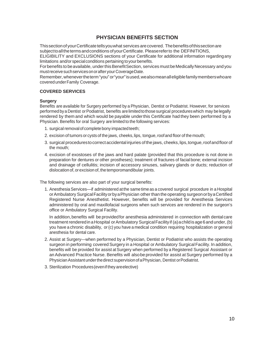# **PHYSICIAN BENEFITS SECTION**

This section of your Certificate tells you what services are covered. The benefits of this section are subjecttoallthetermsandconditions ofyourCertificate. Pleasereferto the DEFINITIONS,

ELIGIBILITY and EXCLUSIONS sections of your Certificate for additional information regardingany limitations and/or special conditions pertaining to your benefits.

For benefits to be available, under this Benefit Section, services must be Medically Necessary and you must receive such services on or after your Coverage Date.

Remember,whenevertheterm"you" or"your"isused,wealsomeanalleligiblefamilymemberswhoare covered under Family Coverage.

## **COVERED SERVICES**

#### **Surgery**

Benefits are available for Surgery performed by a Physician, Dentist or Podiatrist. However, for services performed bya Dentist orPodiatrist, benefits arelimited tothosesurgical procedureswhich may belegally rendered by them and which would be payable underthis Certificate had they been performed by a Physician. Benefits for oral Surgery are limited to the following services:

- 1. surgical removal of complete bony impacted teeth;
- 2. excision of tumors or cysts of the jaws, cheeks, lips, tongue, roof and floor of the mouth;
- 3. surgical procedures to correct accidental injuries of the jaws, cheeks, lips, tongue, roof and floor of the mouth;
- 4. excision of exostoses of the jaws and hard palate (provided that this procedure is not done in preparation for dentures or other prostheses); treatment of fractures of facial bone; external incision and drainage of cellulitis; incision of accessory sinuses, salivary glands or ducts; reduction of dislocation of, or excision of, the temporomandibular joints.

The following services are also part of your surgical benefits:

1. AnesthesiaServices—if administered atthe same timeas a covered surgical procedure in a Hospital orAmbulatory SurgicalFacilityorbyaPhysician other than the operating surgeonorbyaCertified Registered Nurse Anesthetist. However, benefits will be provided for Anesthesia Services administered by oral and maxillofacial surgeons when such services are rendered in the surgeon's office or Ambulatory Surgical Facility.

In addition,benefits will be providedfor anesthesia administered in connection with dentalcare treatment rendered in a Hospital or Ambulatory Surgical Facility if (a) a child is age 6 and under, (b) you have a chronic disability, or(c) you have a medical condition requiring hospitalization or general anesthesia for dental care.

- 2. Assist at Surgery—when performed by a Physician, Dentist or Podiatrist who assists the operating surgeon in performing covered Surgery in a Hospital or Ambulatory Surgical Facility. In addition, benefits will be provided for assist at Surgery when performed by a Registered Surgical Assistant or an Advanced Practice Nurse. Benefits will alsobe provided for assist at Surgery performed by a Physician Assistant under the direct supervision of a Physician, Dentist or Podiatrist.
- 3. Sterilization Procedures(evenif they areelective)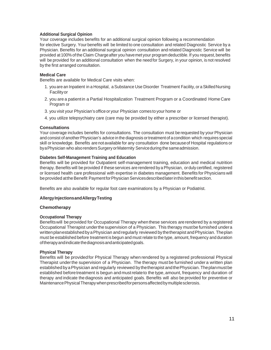## **Additional Surgical Opinion**

Your coverage includes benefits for an additional surgical opinion following a recommendation for elective Surgery. Your benefits will be limited to one consultation and related Diagnostic Service by a Physician. Benefits for an additional surgical opinion consultation and related Diagnostic Service will be provided at 100% of the Claim Charge after you have met your program deductible. If you request, benefits will be provided for an additional consultation when the needfor Surgery, in your opinion, is not resolved by the first arranged consultation.

#### **Medical Care**

Benefits are available for Medical Care visits when:

- 1. you are an Inpatient in a Hospital, a Substance Use Disorder Treatment Facility, or a Skilled Nursing Facilityor
- 2. you are a patientin a Partial Hospitalization Treatment Program or a Coordinated Home Care Program or
- 3. you visit your Physician's office or your Physician comes to your home or
- 4. you utilize telepsychiatry care (care may be provided by either a prescriber or licensed therapist).

#### **Consultations**

Your coverage includes benefits for consultations. The consultation must berequested by your Physician and consist of anotherPhysician's advice in the diagnosis ortreatmentof acondition which requires special skill or knowledge. Benefits are not available for any consultation done becauseof Hospital regulations or byaPhysician who alsorendersSurgery orMaternity Serviceduring the sameadmission.

#### **Diabetes Self-Management Training and Education**

Benefits will be provided for Outpatient self-management training, education and medical nutrition therapy. Benefits will be provided if these services are rendered by a Physician, or duly certified, registered or licensed health care professional with expertise in diabetes management. Benefits for Physicians will be provided atthe Benefit Paymentfor Physician Services described later in this benefit section.

Benefits are also available for regular foot care examinations by a Physician or Podiatrist.

#### **AllergyInjectionsandAllergyTesting**

#### **Chemotherapy**

#### **Occupational Therapy**

Benefitswill be provided for Occupational Therapy whenthese services arerendered by a registered Occupational Therapist underthe supervision of a Physician. This therapy mustbe furnished undera written planestablished by a Physician and regularly reviewed by the therapist and Physician. The plan must be established before treatment is begun and must relate to the type, amount, frequency and duration oftherapyandindicate thediagnosisandanticipatedgoals.

#### **Physical Therapy**

Benefits will be providedfor Physical Therapy when rendered by a registered professional Physical Therapist underthe supervision of a Physician. The therapy must be furnished under a written plan established by a Physician and regularly reviewed by the therapist and the Physician. The plan must be established beforetreatment is begun andmustrelateto the type, amount, frequency and duration of therapy and indicate the diagnosis and anticipated goals. Benefits will also be provided for preventive or MaintenancePhysicalTherapywhenprescribedforpersonsaffectedbymultiplesclerosis.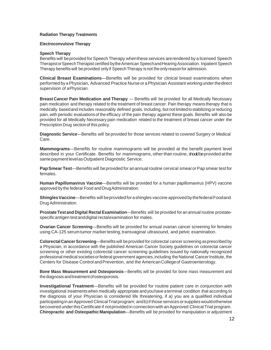#### **Radiation Therapy Treatments**

#### **Electroconvulsive Therapy**

#### **Speech Therapy**

Benefits will be provided for Speech Therapy when these services are rendered by a licensed Speech Therapistor Speech Therapist certified by the American Speechand Hearing Association. Inpatient Speech Therapy benefitswill beprovided only if SpeechTherapy isnot theonlyreasonfor admission.

**Clinical Breast Examinations**—Benefits will be provided for clinical breast examinations when performed by a Physician, Advanced Practice Nurse or a Physician Assistant working under the direct supervision of aPhysician.

**Breast Cancer Pain Medication and Therapy** — Benefits will be provided for all Medically Necessary pain medication and therapy related to the treatment of breast cancer. Pain therapy means therapy that is medically based and includes reasonably defined goals, including, but not limited to stabilizing or reducing pain, with periodic evaluationsof the efficacy of the pain therapy against these goals. Benefits will also be provided for all Medically Necessary pain medication related to the treatment of breast cancer under the Prescription Drug sectionof this policy.

**Diagnostic Service**—Benefits will be provided for those services related to covered Surgery or Medical Care.

**Mammograms**—Benefits for routine mammograms will be provided at the benefit payment level described in your Certificate. Benefits for mammograms, other than routine, should be provided at the samepayment levelasOutpatient Diagnostic Service.

**PapSmear Test**—Benefits will beprovided for anannual routine cervical smearorPap smear test for females.

**Human Papillomavirus Vaccine**—Benefits will be provided for a human papillomavirus (HPV) vaccine approved by the federal Food and DrugAdministration.

**Shingles Vaccine—Benefits will beprovided for a shingles vaccine approved by the federal Foodand** Drug Administration.

**ProstateTest and Digital Rectal Examination**—Benefits will be provided for an annual routine prostatespecificantigen testanddigital rectalexamination for males.

**Ovarian Cancer Screening**—Benefits will be provided for annual ovarian cancer screening for females using CA-125 serum tumor marker testing, transvaginal ultrasound, and pelvic examination.

**Colorectal Cancer Screening—Benefits will be provided for colorectal cancer screening as prescribed by** a Physician, in accordance with the published American Cancer Society guidelines on colorectal cancer screening or other existing colorectal cancer screening guidelines issued by nationally recognized professional medical societies or federal government agencies, including the National Cancer Institute, the Centers for Disease Control and Prevention, and the American College of Gastroenterology.

**Bone Mass Measurement and Osteoporosis**—Benefits will be provided for bone mass measurement and the diagnosis and treatment of osteoporosis.

**Investigational Treatment**—Benefits will be provided for routine patient care in conjunction with investigational treatmentswhen medically appropriate andyouhave a terminal condition that according to the diagnosis of your Physician is considered life threatening, if a) you are a qualified individual participating in an Approved Clinical Trial program; and b) if those services or supplies would otherwise be covered under this Certificate if notprovided in connection with an Approved Clinical Trial program. **Chiropractic and Osteopathic Manipulation**—Benefits will be provided for manipulation or adjustment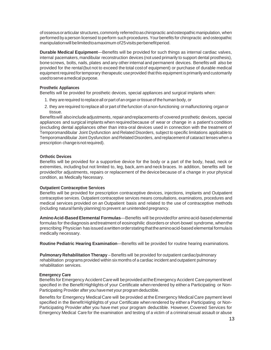ofosseousorarticular structures,commonly referredtoaschiropractic andosteopathicmanipulation, when performed bya person licensed toperform such procedures.Yourbenefits for chiropractic and osteopathic manipulation will be limited to a maximum of 25 visits per benefit period.

**Durable Medical Equipment**—Benefits will be provided for such things as internal cardiac valves, internal pacemakers,mandibular reconstruction devices (not used primarily to support dental prosthesis), bonescrews, bolts, nails, plates and any other internal and permanent devices. Benefits will also be provided for the rental(but not to exceed the total costof equipment) or purchase of durable medical equipment required for temporary therapeutic use provided that this equipment is primarily and customarily usedtoserveamedical purpose.

## **Prosthetic Appliances**

Benefits will be provided for prosthetic devices, special appliances and surgical implants when:

- 1. they arerequired toreplaceall orpart of anorgan ortissueof thehuman body, or
- 2. they arerequired toreplace all orpart of thefunction of anon-functioning ormalfunctioning organor tissue.

Benefits will also include adjustments, repair and replacements of covered prosthetic devices, special appliances and surgical implants when requiredbecause of wear or change in a patient's condition (excluding dental appliances other than intra-oral devices used in connection with the treatment of Temporomandibular Joint Dysfunction and Related Disorders, subject to specific limitations applicableto Temporomandibular Joint Dysfunction and Related Disorders, and replacement of cataract lenses when a prescription changeisnotrequired).

## **Orthotic Devices**

Benefits will be provided for a supportive device for the body or a part of the body, head, neck or extremities, including but not limited to, leg, back, arm and neck braces. In addition, benefits will be providedfor adjustments, repairs or replacement of the devicebecause of a change in your physical condition, as Medically Necessary.

#### **Outpatient Contraceptive Services**

Benefits will be provided for prescription contraceptive devices, injections, implants and Outpatient contraceptive services. Outpatient contraceptive services means consultations, examinations, procedures and medical services provided on an Outpatient basis and related to the use of contraceptive methods (including natural family planning) to prevent an unintended pregnancy.

**AminoAcid-BasedElemental Formulas**—Benefits will beprovidedfor aminoacid-based elemental formulas for thediagnosis andtreatment of eosinophilic disorders or short-bowel syndrome, whenthe prescribing Physician has issued awrittenorderstatingthattheaminoacid-based elemental formulais medically necessary.

**Routine Pediatric Hearing Examination**—Benefits will be provided for routine hearing examinations.

**Pulmonary Rehabilitation Therapy** – Benefits will be provided for outpatient cardiac/pulmonary rehabilitation programs provided within sixmonths of a cardiac incident and outpatient pulmonary rehabilitation services.

#### **Emergency Care**

Benefits for Emergency Accident Care will be provided at the Emergency Accident Care payment level specified in the Benefit Highlights of your Certificate whenrendered by eithera Participating or Non-Participating Provider after you havemet your program deductible.

Benefits for Emergency Medical Care will be provided at the Emergency Medical Care payment level specified in the Benefit Highlights of your Certificate whenrendered by either a Participating or Non-Participating Provider after you have met your program deductible. However,Covered Services for Emergency Medical Care for the examination and testing of a victim of a criminal sexual assault or abuse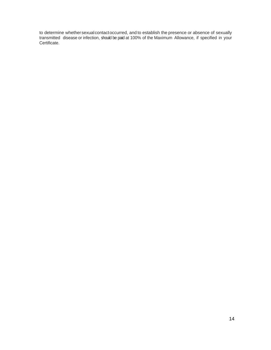to determine whethersexualcontactoccurred, and to establish the presence or absence of sexually transmitted disease or infection, should be paid at 100% of the Maximum Allowance, if specified in your Certificate.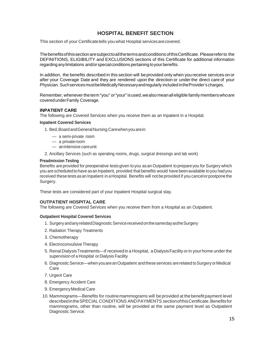# **HOSPITAL BENEFIT SECTION**

This section of your Certificatetells you what Hospital servicesarecovered.

Thebenefitsofthissectionaresubjecttoallthetermsandconditions ofthisCertificate. Pleasereferto the DEFINITIONS, ELIGIBILITY and EXCLUSIONS sections of this Certificate for additional information regarding any limitations and/or special conditions pertaining to your benefits.

In addition, the benefits described in this section will beprovided only when you receive services on or after your Coverage Date and they are rendered upon the direction or under the direct care of your Physician. SuchservicesmustbeMedicallyNecessaryandregularly included intheProvider's charges.

Remember, whenever the term "you" or "your" is used, we also mean all eligible family members who are coveredunderFamily Coverage.

## **INPATIENT CARE**

The following are Covered Services when you receive them as an Inpatient in a Hospital.

#### **Inpatient Covered Services**

1. Bed, Board and General Nursing Care when you are in:

- a semi-private room
- a privateroom
- anintensive careunit
- 2. Ancillary Services (such as operating rooms, drugs, surgical dressings and lab work)

#### **Preadmission Testing**

Benefits are provided for preoperative tests given to you as an Outpatient to prepare you for Surgery which you are scheduled to have as an Inpatient, provided that benefits would have been available to you had you received these tests as an Inpatient in a Hospital. Benefits will not be provided if you cancel or postpone the Surgery.

These tests are considered part of your Inpatient Hospital surgical stay.

# **OUTPATIENT HOSPITAL CARE**

The following are Covered Services when you receive them from a Hospital as an Outpatient.

#### **Outpatient Hospital Covered Services**

- 1. SurgeryandanyrelatedDiagnostic ServicereceivedonthesamedayastheSurgery
- 2. Radiation Therapy Treatments
- 3. Chemotherapy
- 4. Electroconvulsive Therapy
- 5. Renal DialysisTreatments—if receivedin a Hospital, aDialysisFacility orin yourhome underthe supervision of a Hospital or Dialysis Facility
- 6. DiagnosticService—when youareanOutpatient and theseservices arerelated toSurgeryorMedical Care
- 7. Urgent Care
- 8. Emergency Accident Care
- 9. EmergencyMedical Care
- 10. Mammograms—Benefits for routinemammograms will be provided at the benefitpayment level described in the SPECIAL CONDITIONS AND PAYMENTS section of this Certificate. Benefits for mammograms, other than routine, will be provided at the same payment level as Outpatient Diagnostic Service.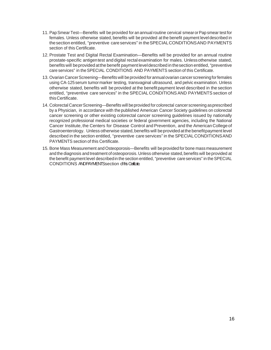- 11. PapSmear Test—Benefits will be provided for an annual routine cervical smearorPap smear test for females. Unless otherwise stated, benefits will be provided at the benefit payment level described in thesection entitled, "preventive care services" in theSPECIALCONDITIONSAND PAYMENTS section of this Certificate.
- 12. Prostate Test and Digital Rectal Examination—Benefits will be provided for an annual routine prostate-specific antigentest and digital rectal examination for males. Unlessotherwise stated, benefits will beprovided atthe benefit payment leveldescribed in thesection entitled, "preventive care services" in theSPECIAL CONDITIONS AND PAYMENTS section of this Certificate.
- 13. Ovarian Cancer Screening-Benefits will be provided for annual ovarian cancer screening for females using CA-125serum tumormarker testing, transvaginal ultrasound, and pelvic examination. Unless otherwise stated, benefits will be provided at the benefitpayment level described in the section entitled, "preventive care services" in the SPECIAL CONDITIONSAND PAYMENTS section of thisCertificate.
- 14. Colorectal Cancer Screening—Benefits will be provided for colorectal cancer screening as prescribed by a Physician, in accordance with the published American Cancer Society guidelines on colorectal cancer screening or other existing colorectal cancer screening guidelines issued by nationally recognized professional medical societies or federal government agencies, including the National Cancer Institute, the Centers for Disease Control and Prevention, and the American Collegeof Gastroenterology. Unless otherwise stated, benefits will be provided at the benefit payment level described in the section entitled, "preventive care services" in the SPECIALCONDITIONSAND PAYMENTS section of this Certificate.
- 15. Bone Mass Measurement and Osteoporosis—Benefits will beprovided for bone mass measurement and the diagnosis and treatment of osteoporosis. Unless otherwise stated, benefits will be provided at the benefit payment level described in the section entitled, "preventive care services" in the SPECIAL CONDITIONS ANDPAYMENTS section of this Certicate.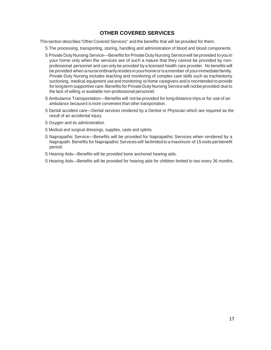# **OTHER COVERED SERVICES**

This section describes "Other Covered Services" and the benefits that will be provided for them.

- S The processing, transporting, storing, handling and administration of blood and blood components.
- S Private Duty Nursing Service—Benefits for Private Duty Nursing Service will be provided to you in your home only when the services are of such a nature that they cannot be provided by nonprofessional personnel and can only be provided by a licensed health care provider. No benefits will be provided when a nurse ordinarily resides in your home or is a member of your immediate family. Private Duty Nursing includes teaching and monitoring of complex care skills such as tracheotomy suctioning, medical equipment useand monitoring to home caregivers and is notintended to provide for longterm supportive care. Benefits for Private Duty Nursing Service will not be provided due to the lack of willing or available non-professional personnel.
- S Ambulance Transportation—Benefits will not be provided for long distance trips or for use of an ambulance becauseit is more convenient than other transportation.
- S Dental accident care—Dental services rendered by a Dentist or Physician which are required as the result of an accidental injury.
- S Oxygen and its administration
- S Medical and surgical dressings, supplies, casts and splints
- S Naprapathic Service—Benefits will be provided for Naprapathic Services when rendered by a Naprapath. Benefits for Naprapathic Services will be limited to a maximum of 15 visits perbenefit period.
- S Hearing Aids—Benefits will be provided bone anchored hearing aids.
- S Hearing Aids—Benefits will be provided for hearing aids for children limited to two every 36 months.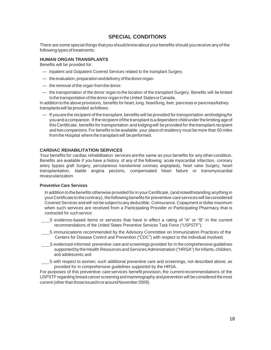# **SPECIAL CONDITIONS**

There are some special things thatyoushould knowabout yourbenefits should youreceive anyof the following types of treatments:

# **HUMAN ORGAN TRANSPLANTS**

Benefits will be provided for:

- Inpatient and Outpatient Covered Services related to the transplant Surgery.
- theevaluation, preparationanddelivery ofthedonororgan.
- the removal of the organ from the donor.
- the transportation of the donor organ to the location of the transplant Surgery. Benefits will be limited tothe transportation of thedonor organin the United StatesorCanada.

In addition tothe above provisions, benefits for heart,lung, heart/lung, liver, pancreas orpancreas/kidney transplantswill beprovided asfollows:

— If youarethe recipient of the transplant, benefits will beprovided fortransportation andlodgingfor you and a companion. If the recipient of the transplant is a dependent child under the limiting age of thisCertificate, benefits for transportation and lodgingwill beprovided for thetransplant recipient and two companions.For benefits to be available, your place of residency must be more than 50 miles fromthe Hospital where the transplant will be performed.

#### **CARDIAC REHABILITATION SERVICES**

Your benefits for cardiac rehabilitation services arethe same as your benefits for anyothercondition. Benefits are available if you have a history of any of the following: acute myocardial infarction, coronary artery bypass graft Surgery, percutaneous transluminal coronary angioplasty, heart valve Surgery, heart transplantation, stable angina pectoris, compensated heart failure or transmyocardial revascularization.

#### **Preventive Care Services**

In additiontothebenefits otherwise provided forin yourCertificate, (andnotwithstanding anything in vour Certificate to the contrary), the following benefits for preventive care services will be considered Covered Services andwill not besubject toany deductible, Coinsurance, Copayment ordollar maximum when such services are received from a Participating Provider or Participating Pharmacy that is contracted for such service:

- S evidence-based items or services that have in effect a rating of "A" or "B" in the current recommendations of the United States Preventive Services Task Force ("USPSTF");
- S immunizations recommended by the Advisory Committee on Immunization Practices of the Centers for Disease Control and Prevention ("CDC") with respect to the individual involved;
- S evidenced-informed preventive care and screenings provided for in thecomprehensive guidelines supported by the Health Resources and Services Administration ("HRSA") for infants, children, and adolescents;and
- S with respect to women, such additional preventive care and screenings, not described above, as provided for in comprehensive guidelines supported by the HRSA.

For purposes of this preventive care services benefit provision, the currentrecommendations of the USPSTF regarding breastcancerscreeningandmammography andprevention will beconsidered themost current (other than those issued in or around November 2009).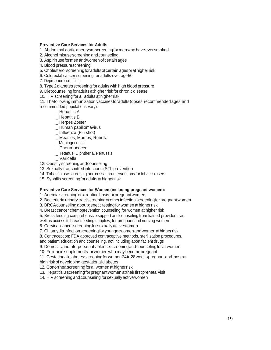## **Preventive Care Services for Adults:**

- 1. Abdominal aortic aneurysmscreeningformenwho haveeversmoked
- 2. Alcoholmisusescreening andcounseling
- 3. Aspirinuse for men and women of certain ages
- 4. Blood pressurescreening
- 5. Cholesterol screeningforadultsofcertain agesorathigherrisk
- 6. Colorectal cancer screening for adults over age50
- 7. Depression screening
- 8. Type 2diabetes screening for adults with high blood pressure
- 9. Dietcounselingforadults athigher riskfor chronic disease
- 10. HIV screening for all adults at higher risk
- 11. Thefollowingimmunization vaccinesforadults(doses,recommendedages,and
- recommended populations vary):
	- $\_$  Hepatitis A
	- \_ Hepatitis B
	- \_ Herpes Zoster
	- \_ Human papillomavirus
	- \_ Influenza (Flu shot)
	- \_ Measles, Mumps, Rubella
	- \_ Meningococcal
	- Pneumococcal
	- \_ Tetanus, Diphtheria, Pertussis
	- \_ Varicella
- 12. Obesity screeningandcounseling
- 13. Sexually transmitted infections (STI) prevention
- 14. Tobacco use screening and cessation interventions for tobacco users
- 15. Syphilis screening for adults at higher risk

# **Preventive Care Services for Women (including pregnant women):**

1. Anemia screeningonaroutine basisforpregnantwomen

2. Bacteriuria urinary tractscreeningorotherinfection screeningforpregnantwomen

- 3. BRCA counseling about genetic testing for women at higher risk
- 4. Breast cancer chemoprevention counseling for women at higher risk
- 5. Breastfeeding comprehensive support and counseling from trained providers, as
- well as access to breastfeeding supplies, for pregnant and nursing women
- 6. Cervical cancerscreeningforsexuallyactivewomen
- 7. Chlamydiainfectionscreeningforyoungerwomenandwomenathigherrisk
- 8. Contraception: FDA approved contraceptive methods, sterilization procedures,
- and patient education and counseling, not including abortifacient drugs
- 9. Domestic andinterpersonalviolence screeningandcounselingforallwomen
- 10. Folicacid supplementsforwomen who may becomepregnant

11. Gestational diabetesscreeningfor women 24 to 28 weeks pregnant and those at high risk of developing gestational diabetes

- 12. Gonorrheascreeningforallwomen athigherrisk
- 13. Hepatitis B screening for pregnant women at their first prenatal visit
- 14. HIV screening and counseling for sexually active women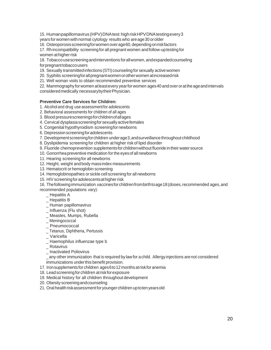15. Humanpapillomavirus (HPV)DNAtest:highriskHPVDNAtestingevery3 years for womenwith normal cytology results who areage30 orolder

16. Osteoporosisscreeningforwomenoverage60,dependingonriskfactors

17. Rhincompatibility screeningfor all pregnant women andfollow-uptesting for women at higher risk

18. Tobaccousescreeningandinterventions forallwomen, andexpandedcounseling for pregnant tobaccousers

19. Sexually transmitted infections (STI) counseling for sexually active women

20. Syphilis screeningfor all pregnant women or other women at increased risk

21. Well woman visits to obtain recommended preventive services

22. Mammography forwomen atleastevery yearforwomen ages40 andover orattheageandintervals consideredmedically necessarybytheirPhysician.

## **Preventive Care Services for Children:**

1. Alcoholand drug use assessmentfor adolescents

- 2. Behavioral assessments for children of all ages
- 3. Blood pressurescreeningsforchildrenofallages
- 4. Cervical dysplasiascreeningforsexuallyactivefemales
- 5. Congenital hypothyroidism screeningfornewborns
- 6. Depression screening for adolescents

7. Developmentscreeningforchildren underage3,andsurveillance throughout childhood

8. Dyslipidemia screening for children at higher risk of lipid disorder

9. Fluoride chemoprevention supplementsfor childrenwithout fluoride intheir watersource

- 10. Gonorrheapreventive medication forthe eyesof all newborns
- 11. Hearing screening for all newborns
- 12. Height, weight andbody massindex measurements
- 13. Hematocrit or hemoglobin screening
- 14. Hemoglobinopathies or sickle cell screening for all newborns
- 15. HIV screening for adolescents at higher risk

16. Thefollowingimmunization vaccinesfor childrenfrombirthtoage18(doses,recommended ages,and recommended populations vary):

- Hepatitis A
- Hepatitis B
- \_ Human papillomavirus
- \_ Influenza (Flu shot)
- Measles, Mumps, Rubella
- \_ Meningococcal
- \_ Pneumococcal
- \_ Tetanus, Diphtheria, Pertussis
- \_ Varicella
- Haemophilus influenzae type b
- \_ Rotavirus
- \_ Inactivated Poliovirus

\_ any other immunization that is required by lawfor a child. Allergy injections arenot considered immunizations underthis benefit provision.

- 17. Ironsupplementsfor children ages6to12months atriskforanemia
- 18. Leadscreeningfor children atriskforexposure
- 19. Medical history for all children throughout development
- 20. Obesity screeningandcounseling
- 21. Oral healthriskassessmentforyoungerchildren uptotenyearsold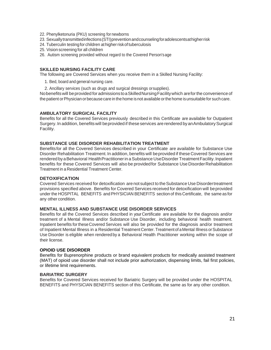- 22. Phenylketonuria (PKU) screening for newborns
- 23. Sexuallytransmittedinfections(STI)preventionandcounselingforadolescentsathigherrisk
- 24. Tuberculin testing for children at higher risk of tuberculosis
- 25. Vision screening for all children
- 26. Autism screening provided without regard to the Covered Person'sage

## **SKILLED NURSING FACILITY CARE**

The following are Covered Services when you receive them in a Skilled Nursing Facility:

1. Bed, board and general nursing care.

2. Ancillary services (such as drugs and surgical dressings orsupplies).

Nobenefitswill beprovided for admissions toaSkilledNursingFacilitywhich areforthe convenience of the patient or Physician or because care in the home is not available or the home is unsuitable for such care.

#### **AMBULATORY SURGICAL FACILITY**

Benefits for all the Covered Services previously described in this Certificate are available for Outpatient Surgery. In addition, benefits will beprovided if these services are rendered by an Ambulatory Surgical Facility.

## **SUBSTANCE USE DISORDER REHABILITATION TREATMENT**

Benefitsfor all the Covered Services described in your Certificate are available for Substance Use Disorder Rehabilitation Treatment. In addition, benefits will beprovided if these Covered Services are rendered by a Behavioral Health Practitioner in a Substance Use Disorder Treatment Facility. Inpatient benefits for these Covered Services will also be provided for Substance Use Disorder Rehabilitation Treatment in a Residential Treatment Center.

## **DETOXIFICATION**

Covered Services received for detoxification are not subject to the Substance Use Disordertreatment provisions specified above. Benefits for Covered Services received for detoxification will beprovided under the HOSPITAL BENEFITS andPHYSICIAN BENEFITS section of this Certificate, the same as for any other condition.

#### **MENTAL ILLNESS AND SUBSTANCE USE DISORDER SERVICES**

Benefits for all the Covered Services described in yourCertificate are available for the diagnosis and/or treatment of a Mental Illness and/or Substance Use Disorder, including behavioral health treatment. Inpatient benefits fortheseCovered Services will also be provided for the diagnosis and/or treatment of Inpatient Mental Illness in a Residential Treatment Center.Treatment of aMental Illness orSubstance Use Disorder is eligible when renderedby a Behavioral Health Practitioner working within the scope of their license.

## **OPIOID USE DISORDER**

Benefits for Buprenorphine products or brand equivalent products for medically assisted treatment (MAT) of opioid use disorder shall not include prior authorization, dispensing limits, fail first policies, or lifetime limit requirements.

## **BARIATRIC SURGERY**

Benefits for Covered Services received for Bariatric Surgery will be provided under the HOSPITAL BENEFITS and PHYSICIAN BENEFITS section of this Certificate, the same as for any other condition.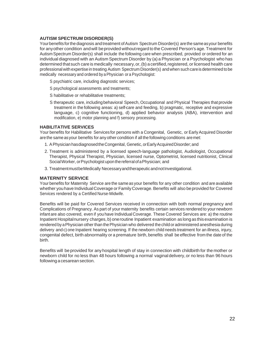## **AUTISM SPECTRUM DISORDER(S)**

Your benefits for the diagnosis and treatment of Autism Spectrum Disorder(s) are the same as your benefits for anyother condition andwill beprovided withoutregard to the Covered Person's age. Treatment for Autism Spectrum Disorder(s) shall include the following care when prescribed, provided or ordered for an individual diagnosed with an Autism Spectrum Disorder by (a) a Physician or a Psychologist who has determined that such care is medically necessary, or, (b) a certified, registered, or licensed health care professional with expertise in treating Autism Spectrum Disorder(s) and when such care is determined to be medically necessary and ordered by aPhysician or a Psychologist:

- S psychiatric care, including diagnostic services;
- S psychological assessments and treatments;
- S habilitative or rehabilitative treatments;
- S therapeutic care, includingbehavioral Speech, Occupational and Physical Therapies that provide treatment in the following areas: a) self-care and feeding, b) pragmatic, receptive and expressive language, c) cognitive functioning, d) applied behavior analysis (ABA), intervention and modification, e) motor planning and f) sensory processing.

#### **HABILITATIVE SERVICES**

Your benefits for Habilitative Services for persons with a Congenital, Genetic, or Early Acquired Disorder are the sameasyour benefits for anyother condition if all the following conditions aremet:

- 1. A Physician has diagnosed the Congenital, Genetic, or Early Acquired Disorder; and
- 2. Treatment is administered by a licensed speech-language pathologist, Audiologist, Occupational Therapist, Physical Therapist, Physician, licensed nurse, Optometrist, licensed nutritionist, Clinical Social Worker, or Psychologist upon the referral of a Physician; and
- 3. TreatmentmustbeMedically NecessaryandtherapeuticandnotInvestigational.

#### **MATERNITY SERVICE**

Your benefits for Maternity Service are the sameas your benefits for any other condition and are available whether you have Individual Coverage or Family Coverage. Benefits will also be provided for Covered Services rendered by a Certified Nurse-Midwife.

Benefits will be paid for Covered Services received in connection with both normal pregnancy and Complications of Pregnancy. As part of your maternity benefits certain services rendered to your newborn infantare also covered, even if you have IndividualCoverage. These Covered Services are: a) the routine Inpatient Hospitalnursery charges, b) oneroutine Inpatient examination as longas this examination is rendered by a Physician other than the Physician who delivered the child or administered anesthesia during delivery and c) one Inpatient hearing screening. If the newborn child needs treatment for an illness, injury, congenital defect, birth abnormality or a premature birth, benefits shall be effective from the date of the birth.

Benefits will be provided for anyhospital length of stay in connection with childbirth for the mother or newborn child for no less than 48 hours following a normal vaginaldelivery,or no less than 96 hours following acesareansection.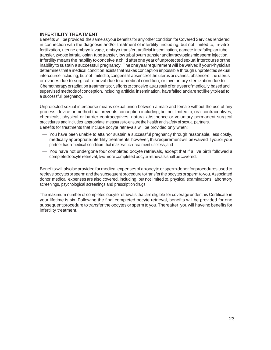## **INFERTILITY TREATMENT**

Benefits will be provided the same asyourbenefits for any other condition for Covered Services rendered in connection with the diagnosis and/or treatment of infertility, including, but not limited to, in-vitro fertilization, uterine embryo lavage, embryo transfer, artificial insemination, gamete intrafallopian tube transfer, zygote intrafallopian tube transfer, low tubal ovum transfer andintracytoplasmic sperm injection. Infertility means theinability toconceive achildafterone year of unprotected sexual intercourse orthe inability to sustain a successful pregnancy. The one year requirement will be waived if your Physician determines thata medical condition exists thatmakes conception impossible through unprotected sexual intercourse including, butnotlimited to, congenital absenceof the uterus or ovaries, absenceof the uterus or ovaries due to surgical removal due to a medical condition, or involuntary sterilization due to Chemotherapyorradiation treatments;or,effortstoconceive asaresultofoneyearofmedically basedand supervised methods of conception, including artificial insemination, have failed and are not likely to lead to a successful pregnancy.

Unprotected sexual intercourse means sexual union between a male and female without the use of any process, device or method that prevents conception including, but not limited to, oral contraceptives, chemicals, physical or barrier contraceptives, natural abstinence or voluntary permanent surgical procedures and includes appropriate measures to ensure the health and safety of sexual partners. Benefits for treatments that include oocyte retrievals will be provided only when:

- You have been unable to attainor sustain a successful pregnancy through reasonable, less costly, medically appropriate infertility treatments; however, this requirement will be waived if you or your partner hasamedical condition that makes such treatment useless;and
- You have not undergone four completed oocyte retrievals, except that if a live birth followed a completed oocyte retrieval, two more completed oocyte retrievals shall be covered.

Benefitswill alsobeprovided for medical expensesof anoocyte or sperm donorfor procedures usedto retrieve oocytes or sperm and the subsequent procedure to transfer the oocytes or sperm to you. Associated donor medical expenses are also covered, including, but not limited to, physical examinations, laboratory screenings, psychological screenings and prescription drugs.

The maximum number of completed oocyte retrievals that areeligible for coverage under this Certificate in your lifetime is six. Following the final completed oocyte retrieval, benefits will be provided for one subsequent procedure to transfer the oocytes or sperm toyou.Thereafter, youwill have nobenefits for infertility treatment.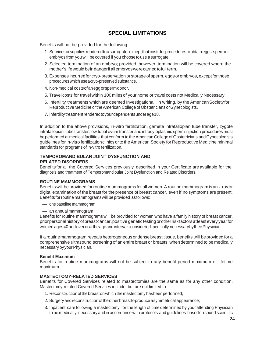# **SPECIAL LIMITATIONS**

Benefits will not be provided for the following:

- 1. Servicesorsupplies renderedtoasurrogate, exceptthat costsforprocedurestoobtaineggs,spermor embryos fromyou will be covered if you chooseto use asurrogate.
- 2. Selected termination of an embryo; provided, however, termination will be covered where the mother'slifewouldbeindangerifallembryoswerecarriedtofullterm.
- 3. Expenses incurredfor cryo-preservation or storageof sperm, eggsorembryos, exceptforthose procedureswhich useacryo-preserved substance.
- 4. Non-medical costsofaneggorspermdonor.
- 5. Travel costs for travel within 100 miles of your home or travel costs not Medically Necessary
- 6. Infertility treatments which are deemed Investigational, in writing, by the AmericanSocietyfor Reproductive Medicine or the American College of Obstetricians or Gynecologists.
- 7. Infertility treatmentrenderedtoyourdependentsunderage18.

In addition to the above provisions, in-vitro fertilization, gamete intrafallopian tube transfer, zygote intrafallopian tube transfer, low tubal ovum transfer and intracytoplasmic sperm injection procedures must be performed at medical facilities that conform to the American College of Obstetricians and Gynecologists guidelines for in-vitro fertilizationclinicsorto the American Society for Reproductive Medicine minimal standards for programs of in-vitro fertilization.

## **TEMPOROMANDIBULAR JOINT DYSFUNCTION AND RELATED DISORDERS**

Benefits for all the Covered Services previously described in your Certificate are available for the diagnosis and treatment of Temporomandibular Joint Dysfunction and Related Disorders.

#### **ROUTINE MAMMOGRAMS**

Benefits will be provided for routine mammograms for all women. A routine mammogram is an x-ray or digital examination of the breast for the presence of breast cancer, even if no symptoms arepresent. Benefits for routine mammograms will be provided as follows:

- onebaseline mammogram
- an annual mammogram

Benefits for routine mammograms will be provided for women who have a family history of breast cancer, priorpersonalhistory ofbreastcancer,positive genetic testingorotherriskfactorsatleastevery yearfor women ages40andoverorattheageandintervals consideredmedically necessarybytheirPhysician.

If a routinemammogram reveals heterogeneousor dense breast tissue, benefits will beprovided for a comprehensive ultrasound screening of an entirebreast or breasts, whendetermined to be medically necessary by your Physician.

#### **Benefit Maximum**

Benefits for routine mammograms will not be subject to any benefit period maximum or lifetime maximum.

#### **MASTECTOMY-RELATED SERVICES**

Benefits for Covered Services related to mastectomies are the same as for any other condition. Mastectomy-related Covered Services include, but are not limited to:

- 1. Reconstructionofthebreastonwhich themastectomy hasbeenperformed;
- 2. Surgery and reconstruction of the other breast to produce a symmetrical appearance;
- 3. Inpatient care following a mastectomy for the length of time determined by your attending Physician to be medically necessary and in accordance with protocols and guidelines basedonsound scientific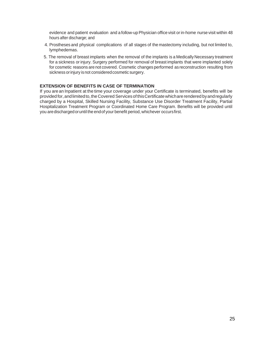evidence and patient evaluation and a follow-up Physician office visit or in-home nurse visit within 48 hours after discharge; and

- 4. Prostheses and physical complications of all stages of the mastectomy including, but not limited to, lymphedemas.
- 5. The removal of breast implants when the removal of the implants is a Medically Necessary treatment for a sickness or injury. Surgery performed for removal of breast implants that were implanted solely for cosmetic reasons are not covered. Cosmetic changes performed as reconstruction resulting from sickness or injury is not considered cosmetic surgery.

# **EXTENSION OF BENEFITS IN CASE OF TERMINATION**

If you arean Inpatient at the time your coverage under your Certificate is terminated, benefits will be provided for, and limited to, the Covered Services of this Certificate which are rendered by and regularly charged by a Hospital, Skilled Nursing Facility, Substance Use Disorder Treatment Facility, Partial Hospitalization Treatment Program or Coordinated Home Care Program. Benefits will be provided until you aredischargedoruntil the endof your benefit period, whichever occursfirst.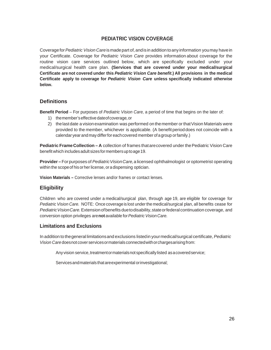# **PEDIATRIC VISION COVERAGE**

Coveragefor*Pediatric Vision Care*ismadepart of,andisin addition toanyinformation youmay havein your Certificate. Coverage for *Pediatric Vision Care* provides information about coverage for the routine vision care services outlined below, which are specifically excluded under your medical/surgical health care plan. **(Services that are covered under your medical/surgical Certificate are not covered under this** *Pediatric Vision Care benefit***.) All provisions in the medical Certificate apply to coverage for** *Pediatric Vision Care* **unless specifically indicated otherwise below.**

# **Definitions**

**Benefit Period** – For purposes of *Pediatric Vision Care,* a period of time that begins on the later of:

- 1) themember'seffective dateofcoverage*,*or
- 2) thelastdate a visionexamination was performed onthemember or thatVision Materials were provided to the member, whichever is applicable. (A benefit perioddoes not coincide with a calendar year and may differ for each covered member of a group or family.)

**Pediatric Frame Collection – A** collection of frames that are covered under the Pediatric Vision Care benefit which includes adult sizes for members up to age 19.

**Provider** – For purposes of *Pediatric Vision Care*, a licensed ophthalmologist or optometrist operating within the scope of his or her license, or a dispensing optician.

**Vision Materials –** Corrective lenses and/or frames or contact lenses.

# **Eligibility**

Children who are covered under a medical/surgical plan, through age 19, are eligible for coverage for *Pediatric Vision Care.* NOTE: Once coverageis lost underthe medical/surgical plan, all benefits cease for *PediatricVisionCare.*Extensionofbenefits duetodisability,stateorfederalcontinuation coverage, and conversion option privileges are**not** available for*PediatricVisionCare.*

# **Limitations and Exclusions**

In addition tothegeneral limitationsand exclusions listedin yourmedical/surgical certificate,*Pediatric Vision Care* doesnot cover servicesormaterialsconnectedwithorchargesarisingfrom:

Any vision service, treatmentor materials not specifically listed as a covered service;

Servicesandmaterials thatareexperimental orinvestigational;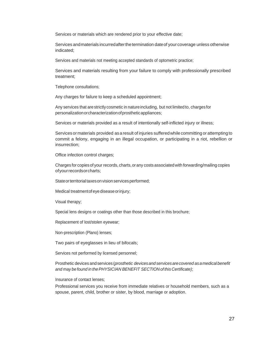Services or materials which are rendered prior to your effective date;

Services and materials incurred after the termination date of your coverage unless otherwise indicated;

Services and materials not meeting accepted standards of optometric practice;

Services and materials resulting from your failure to comply with professionally prescribed treatment;

Telephone consultations;

Any charges for failure to keep a scheduled appointment;

Any services that arestrictly cosmetic in natureincluding, but not limitedto, chargesfor personalizationorcharacterizationofprostheticappliances;

Services or materials provided as a result of intentionally self-inflicted injury or illness;

Services or materials provided as a result of injuries suffered while committing or attempting to commit a felony, engaging in an illegal occupation, or participating in a riot, rebellion or insurrection;

Office infection control charges;

Charges for copies of your records, charts,orany costs associatedwith forwarding/mailing copies ofyourrecordsorcharts;

State or territorial taxes on vision services performed;

Medical treatmentofeye diseaseorinjury;

Visual therapy;

Special lens designs or coatings other than those described in this brochure;

Replacement of lost/stolen eyewear;

Non-prescription (Plano) lenses;

Two pairs of eyeglasses in lieu of bifocals;

Services not performed by licensed personnel;

Prosthetic devices andservices (*prosthetic devicesand servicesarecovered asamedicalbenefit and may be found in thePHYSICIAN BENEFIT SECTION ofthis Certificate)*;

Insurance of contact lenses;

Professional services you receive from immediate relatives or household members, such as a spouse, parent, child, brother or sister, by blood, marriage or adoption.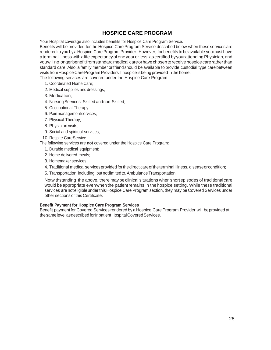# **HOSPICE CARE PROGRAM**

Your Hospital coverage also includes benefits for Hospice Care Program Service.

Benefits will be provided for the Hospice Care Program Service described below when these services are rendered to you by a Hospice Care Program Provider. However, for benefits to be available youmust have aterminal illness with alife expectancyof oneyearorless,ascertified byyourattendingPhysician, and youwill nolongerbenefitfromstandardmedical careorhavechosentoreceive hospicecareratherthan standard care. Also, a family member or friend should be available to provide custodial type care between visits from Hospice Care Program Providers if hospice is being provided in the home.

The following services are covered under the Hospice Care Program:

- 1. Coordinated Home Care;
- 2. Medical supplies anddressings;
- 3. Medication;
- 4. Nursing Services-Skilled andnon-Skilled;
- 5. Occupational Therapy;
- 6. Painmanagementservices;
- 7. Physical Therapy;
- 8. Physician visits;
- 9. Social and spiritual services;

10. Respite CareService.

The following services are **not** covered under the Hospice Care Program:

- 1. Durable medical equipment;
- 2. Home delivered meals;
- 3. Homemaker services;
- 4. Traditional medical servicesprovided forthedirect careofthe terminal illness, diseaseorcondition;
- 5. Transportation, including, but not limited to, Ambulance Transportation.

Notwithstanding the above, there may be clinical situations whenshortepisodes of traditionalcare would be appropriate evenwhen the patientremains in the hospice setting. While these traditional services are not eligible under this Hospice Care Program section, they may be Covered Services under other sections of this Certificate.

### **Benefit Payment for Hospice Care Program Services**

Benefit payment for Covered Services rendered by a Hospice Care Program Provider will beprovided at thesamelevel asdescribedforInpatientHospitalCoveredServices.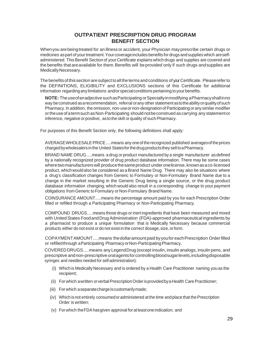# **OUTPATIENT PRESCRIPTION DRUG PROGRAM BENEFIT SECTION**

Whenyou arebeingtreated for an illnessor accident, your Physician may prescribe certain drugs or medicines as part of your treatment. Your coverage includes benefits for drugs and supplies which are selfadministered. This Benefit Section of your Certificate explains which drugs and supplies are covered and the benefits that are available for them. Benefits will be provided only if such drugs and supplies are MedicallyNecessary.

The benefits of this section are subject to all the terms and conditions of your Certificate. Please refer to the DEFINITIONS, ELIGIBILITY and EXCLUSIONS sections of this Certificate for additional information regarding any limitations and/or special conditions pertaining to your benefits.

**NOTE:** The use of an adjective such as Participating or Specialty in modifying a Pharmacy shall in no way beconstrued asarecommendation, referral orany other statement astotheabilityorqualityofsuch Pharmacy. In addition, the omission, non-use or non-designation of Participating or any similar modifier ortheuseof atermsuchasNon-Participating should notbeconstrued ascarrying any statementor inference, negative or positive, as to the skill or quality of such Pharmacy.

For purposes of this Benefit Section only, the following definitions shall apply:

AVERAGEWHOLESALEPRICE.....means any oneof the recognized published averagesof theprices chargedbywholesalers in the United Statesforthedrug productsthey sell toaPharmacy.

BRAND NAME DRUG.....means a drug or product manufactured by a single manufacturer asdefined by a nationally recognized provider of drug product database information. There may be some cases where two manufacturers will produce the same product under one license, known as a co-licensed product, whichwouldalso be considered as a Brand Name Drug. There may also be situations where a drug's classification changes from Generic to Formulary or Non-Formulary Brand Name due to a change in the market resulting in the Generic Drug being a single source, or the drug product database information changing, which would also result in a corresponding change to your payment obligations from Generic to Formulary or Non-Formulary Brand Name.

COINSURANCE AMOUNT.....means the percentage amount paid by you for each Prescription Order filled or refilled through a Participating Pharmacy or Non-Participating Pharmacy.

COMPOUND DRUGS.....means those drugs or inert ingredients thathave been measured and mixed with United States Food and Drug Administration (FDA)-approved pharmaceutical ingredients by a pharmacist to produce a unique formulation that is Medically Necessary because commercial products either do not exist or do not exist in the correct dosage, size, or form.

COPAYMENTAMOUNT.....means thedollaramount paid byyoufor eachPrescription Order filled or refilledthrough aParticipating PharmacyorNon-ParticipatingPharmacy.

COVEREDDRUGS.....means any LegendDrug (except insulin, insulin analogs, insulin pens, and prescriptive andnon-prescriptive oralagentsforcontrollingbloodsugarlevels,includingdisposable syringes and needles needed for self-administration):

- (i) Which is Medically Necessary and is ordered by a Health Care Practitioner naming you as the recipient;
- (ii) For which a written or verbal Prescription Order is provided by a Health Care Practitioner;
- (iii) For which a separate charge is customarily made;
- (iv) Which is not entirely consumed or administered at the time and place that the Prescription Order is written;
- (v) For which theFDAhasgiven approval for atleastoneindication; and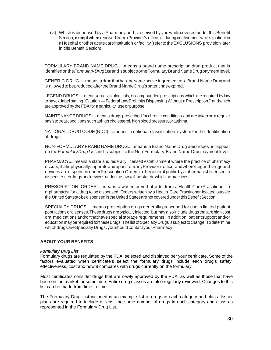(vi) Which is dispensed by a Pharmacy andis received by you while covered under thisBenefit Section, **except when** received from a Provider's office, or during confinement while a patient in aHospital orother acutecareinstitution orfacility (refertotheEXCLUSIONS provision later in this Benefit Section).

FORMULARY BRAND NAME DRUG.....means a brand name prescription drug product that is identifiedonthe*FormularyDrugList*andissubjecttotheFormularyBrandNameDrugpaymentlevel.

GENERIC DRUG.....means adrugthathas thesame active ingredient asaBrand Name Drugand is allowed to beproduced after the Brand Name Drug's patent has expired.

LEGEND DRUGS.....meansdrugs,biologicals, or compounded prescriptions whicharerequired bylaw to have a label stating "Caution — Federal Law Prohibits Dispensing Without a Prescription," and which are approved by the FDA for a particular use or purpose.

MAINTENANCE DRUGS.....means drugs prescribed for chronic conditions and are taken ona regular basistotreatconditions suchashigh cholesterol, high blood pressure,orasthma.

NATIONAL DRUG CODE(NDC).....means a national classification system for the identification of drugs.

NON-FORMULARYBRAND NAME DRUG.....means aBrand Name Drugwhichdoes notappear on the*FormularyDrug List* and is subject to theNon-Formulary Brand Name Drug payment level.

PHARMACY.....means a state and federally licensed establishment where the practice of pharmacy occurs,thatisphysicallyseparateandapartfromanyProvider'soffice,andwhereLegendDrugsand devices are dispensed underPrescription Orders to thegeneral publicby a pharmacist licensed to dispense such drugs and devices under the laws of the state in which hepractices.

PRESCRIPTION ORDER.....means a written or verbal order from a Health Care Practitioner to a pharmacist for a drug to be dispensed. Orders written by a Health Care Practitioner located outside the United Statestobe dispensed in the United States are not covered under this Benefit Section.

SPECIALTY DRUGS.....means prescription drugs generally prescribed for use in limited patient populationsordiseases.These drugs aretypicallyinjected,butmay alsoinclude drugs that arehigh cost oralmedications and/orthathavespecial storage requirements. In addition, patientsupport and/or education may be required for these drugs. The list of Specialty Drugs is subject to change. To determine which drugs are Specialty Drugs, you should contact your Pharmacy.

#### **ABOUT YOUR BENEFITS**

#### *Formulary Drug List*

Formulary drugs are regulated by the FDA, selected and displayed per your certificate. Some of the factors evaluated when certificate's select the formulary drugs include each drug's safety, effectiveness, cost and how it compares with drugs currently on the formulary.

Most certificates consider drugs that are newly approved by the FDA, as well as those that have been on the market for some time. Entire drug classes are also regularly reviewed. Changes to this list can be made from time to time.

The Formulary Drug List included is an example list of drugs in each category and class. Issuer plans are required to include at least the same number of drugs in each category and class as represented in the Formulary Drug List.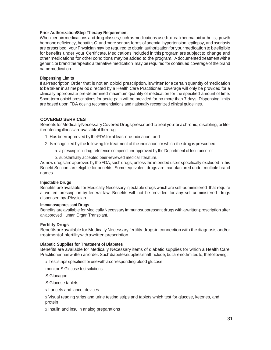#### **Prior Authorization/Step Therapy Requirement**

When certain medications and drug classes, such as medications used to treat rheumatoid arthritis, growth hormone deficiency, hepatitis C, and more serious forms of anemia, hypertension, epilepsy, and psoriasis are prescribed, your Physician may be required to obtain authorization for your medication to be eligible for benefits under your Certificate. Medications included in this program are subject to change and other medications for other conditions may be added to the program. Adocumented treatmentwitha generic or brand therapeutic alternative medication may be required for continued coverage of the brand namemedication.

#### **Dispensing Limits**

If aPrescription Order that is not an opioid prescription, iswrittenfor acertain quantity ofmedication tobe taken in atimeperiod directed by a Health Care Practitioner, coverage will only be provided for a clinically appropriate pre-determined maximum quantity of medication for the specified amount of time. Short-term opioid prescriptions for acute pain will be provided for no more than 7 days. Dispensing limits are based upon FDA dosing recommendations and nationally recognized clinical guidelines.

#### **COVERED SERVICES**

Benefits for Medically Necessary Covered Drugs prescribed to treat you for a chronic, disabling, or lifethreatening illness areavailable if thedrug:

- 1. Has beenapproved bytheFDAfor atleastoneindication; and
- 2. Is recognized by the following for treatment of the indication for which the drug is prescribed:
	- a. a prescription drug reference compendium approved by the Department of Insurance, or
	- b. substantially accepted peer-reviewed medical literature.

As new drugs are approved by the FDA, such drugs, unless the intended use is specifically excluded in this Benefit Section, are eligible for benefits. Some equivalent drugs are manufactured under multiple brand names.

#### **Injectable Drugs**

Benefits are available for Medically Necessary injectable drugs which are self-administered that require a written prescription by federal law. Benefits will not be provided for any self-administered drugs dispensed byaPhysician.

#### **Immunosuppressant Drugs**

Benefits are available for Medically Necessary immunosuppressant drugs with a written prescription after an approved Human Organ Transplant.

#### **Fertility Drugs**

Benefits are available for Medically Necessary fertility drugs in connection with the diagnosis and/or treatmentofinfertilitywithawritten prescription.

#### **Diabetic Supplies for Treatment of Diabetes**

Benefits are available for Medically Necessary items of diabetic supplies for which a Health Care Practitioner has written an order. Such diabetes supplies shall include, but are not limited to, the following:

x Test strips specified for usewith acorresponding blood glucose

monitor S Glucose testsolutions

S Glucagon

S Glucose tablets

x Lancets and lancet devices

x Visual reading strips and urine testing strips and tablets which test for glucose, ketones, and protein

x Insulin and insulin analog preparations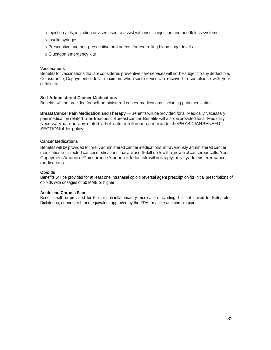- x Injection aids, including devices used to assist with insulin injection and needleless systems
- x Insulin syringes
- x Prescriptive and non-prescriptive oral agents for controlling blood sugar levels
- x Glucagon emergency kits

#### **Vaccinations**

Benefits for vaccinations that areconsidered preventive careserviceswill notbe subject toany deductible, Coinsurance, Copayment or dollar maximum when such services are received in compliance with your certificate.

## **Self-Administered Cancer Medications**

Benefits will be provided for self-administered cancer medications, including pain medication.

**BreastCancerPain Medication andTherapy** —Benefits will beprovided for all Medically Necessary pain medication relatedtothe treatment of breastcancer.Benefits will alsobeprovided for all Medically NecessarypaintherapyrelatedtothetreatmentofbreastcancerunderthePHYSICIANBENEFIT SECTIONofthispolicy.

#### **Cancer Medications**

Benefitswill beprovided fororallyadministered cancermedications, intravenously administered cancer medicationsorinjected cancermedications that areusedtokill orslow thegrowth of cancerouscells.Your CopaymentAmountorCoinsuranceAmountordeductiblewill notapplytoorallyadministeredcancer medications.

#### **Opioids**

Benefits will be provided for at least one intranasal opioid reversal agent prescription for initial prescriptions of opioids with dosages of 50 MME or higher.

#### **Acute and Chronic Pain**

Benefits will be provided for topical anti-inflammatory medication including, but not limited to, Ketoprofen, Diclofenac, or another brand equivalent approved by the FDA for acute and chronic pain.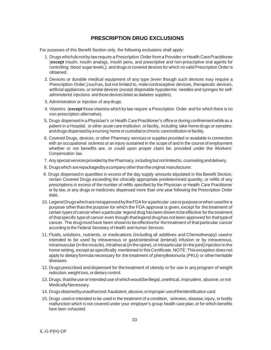# **PRESCRIPTION DRUG EXCLUSIONS**

For purposes of this Benefit Section only, the following exclusions shall apply:

- 1. Drugs which do not by law require a Prescription Order from a Provider or Health Care Practitioner (**except** insulin, insulin analogs, insulin pens, and prescriptive and non-prescriptive oral agents for controlling blood sugar levels,); and drugs or covered devices for which no valid Prescription Order is obtained.
- 2. Devices or durable medical equipment of any type (even though such devices may require a Prescription Order,) such as, but not limited to, male contraceptive devices, therapeutic devices, artificial appliances, or similar devices (except disposable hypodermic needles and syringes for selfadministered injections and those devices listed as diabetes supplies).
- 3. Administration or injection of anydrugs.
- 4. Vitamins (**except** those vitamins which by law require a Prescription Order and for which there is no non-prescription alternative).
- 5. Drugs dispensed in a Physician's or Health Care Practitioner's office or during confinement while as a patient in a Hospital, or other acute care institution or facility, including take-home drugs or samples; anddrugs dispensedbyanursing home orcustodialorchronic careinstitutionorfacility.
- 6. Covered Drugs, devices, or other Pharmacy services or supplies provided or available in connection with an occupational sickness or an injury sustained in the scope of and in the course of employment whether or not benefits are, or could upon proper claim be, provided under the Workers' Compensation law.
- 7. Any special services provided by the Pharmacy, including but not limited to, counseling and delivery.
- 8. Drugs which arerepackagedbyacompany otherthantheoriginal manufacturer.
- 9. Drugs dispensed in quantities in excess of the day supply amounts stipulated in this Benefit Section, certain Covered Drugs exceeding the clinically appropriate predetermined quantity, or refills of any prescriptions in excess of the number of refills specified by the Physician or Health Care Practitioner or by law, or any drugs or medicines dispensed more than one year following the Prescription Order date.
- 10. LegendDrugswhicharenotapprovedbytheFDAforaparticular useorpurposeorwhen usedfora purpose otherthanthe purpose for which the FDA approval is given, except for the treatment of certain types of cancer when a particular legend drug hasbeen shown tobe effective for the treatment of thatspecific typeof cancer even though thatlegend drughas not been approved for thattypeof cancer. The drugmusthave been shownto be effectivefor the treatment of thatparticular cancer according to the Federal Secretary of Health and Human Services.
- 11. Fluids, solutions, nutrients, or medications (including all additives and Chemotherapy) usedor intended to be used by intravenous or gastrointestinal (enteral) infusion or by intravenous, intramuscular (in the muscle), intrathecal (in the spine), or intraarticular (in the joint) injection in the home setting, except as specifically mentioned in thisCertificate. NOTE:This exception does not apply to dietary formula necessary for the treatment of phenylketonuria (PKU) or other heritable diseases.
- 12. Drugsprescribed anddispensed for the treatment of obesity or for use in any program of weight reduction,weight loss,ordietary control.
- 13. Drugs, that the use or intended use of which would be illegal, unethical, imprudent, abusive, or not MedicallyNecessary.
- 14. Drugsobtainedbyunauthorized,fraudulent, abusive,orimproper useoftheidentification card.
- 15. Drugs used or intended to be used in the treatment of a condition, sickness, disease,injury, or bodily malfunction which is not covered under your employer's group health care plan, or for which benefits have been exhausted.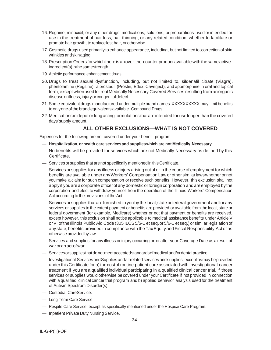- 16. Rogaine, minoxidil, or any other drugs, medications, solutions, or preparations used or intended for use in the treatment of hair loss, hair thinning, or any related condition, whether to facilitate or promote hair growth, to replacelost hair, or otherwise.
- 17. Cosmetic drugs usedprimarily to enhance appearance, including, but not limited to, correction of skin wrinkles andskinaging.
- 18. Prescription Orders for which there is an over-the-counter product available with the same active ingredient(s)inthesamestrength.
- 19. Athletic performance enhancement drugs.
- 20. Drugs to treat sexual dysfunction, including, but not limited to, sildenafil citrate (Viagra), phentolamine (Regitine), alprostadil (Prostin, Edex, Caverject), and apomorphine in oral and topical form, except when used to treat Medically Necessary Covered Services resulting from an organic diseaseorillness, injury or congenital defect.
- 21. Some equivalent drugs manufactured under multiple brand names.XXXXXXXXXX may limit benefits to only one of the brand equivalents available. Compound Drugs
- 22. Medications in depot orlongacting formulations thatare intended for use longer than the covered days'supply amount.

# **ALL OTHER EXCLUSIONS—WHAT IS NOT COVERED**

Expenses for the following are not covered under your benefit program:

- **Hospitalization, orhealth care servicesand supplieswhich are not Medically Necessary.**
	- No benefits will be provided for services which are not Medically Necessary as defined by this Certificate.
- Services orsupplies that arenot specifically mentioned in thisCertificate.
- Services or supplies for any illness orinjury arising outof orin the course of employment for which benefits are available under anyWorkers' Compensation Law or other similarlawswhether or not you make a claim for such compensation or receive such benefits. However, this exclusion shall not apply if youare a corporate officerof any domestic orforeign corporation andareemployed bythe corporation and elect to withdraw yourself from the operation of the Illinois Workers' Compensation Act according to the provisions of the Act.
- Services or supplies thatare furnished to youby the local,state orfederal government andfor any services or supplies to the extent payment or benefits are provided or available from the local, state or federal government (for example, Medicare) whether or not that payment or benefits are received, except however, this exclusion shall not be applicable to medical assistance benefits under Article V or VI of the Illinois Public Aid Code (305 ILCS 5/5-1 et seq. or 5/6-1 et seq.) or similar legislation of anystate, benefits provided in compliance with the TaxEquityand Fiscal Responsibility Act or as otherwise provided by law.
- Services and supplies for any illness or injury occurring on or after your Coverage Date as a result of waroranactofwar.
- Servicesorsuppliesthatdonotmeetacceptedstandardsofmedicaland/ordentalpractice.
- Investigational ServicesandSupplies andallrelated services andsupplies, except asmay beprovided under this Certificate for a) the cost of routine patient care associated with Investigational cancer treatment if you are a qualified individual participating in a qualified clinical cancer trial, if those services or supplies would otherwise be covered under your Certificate if not provided in connection with a qualified clinical cancer trial program and b) applied behavior analysis used for the treatment of Autism Spectrum Disorder(s).
- Custodial CareService.
- Long Term Care Service.
- Respite Care Service, except as specifically mentioned under the Hospice Care Program.
- Inpatient Private Duty Nursing Service.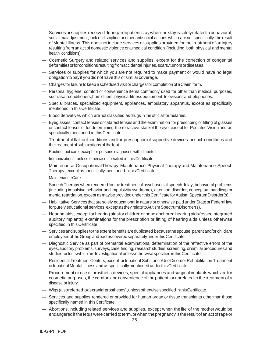- Services or supplies received duringanInpatient staywhen thestay is solelyrelated tobehavioral, social maladjustment, lack of discipline or other antisocial actions which arenot specifically the result of Mental Illness. Thisdoes notinclude servicesor supplies provided for the treatment of aninjury resulting from an act of domestic violence or a medical condition (including both physical and mental health conditions).
- Cosmetic Surgery and related services and supplies, except for the correction of congenital deformitiesorforconditionsresultingfromaccidental injuries, scars,tumorsordiseases.
- Services or supplies for which you are not required to make payment or would have no legal obligationtopayif youdidnothavethisorsimilarcoverage.
- Chargesforfailure tokeep ascheduled visitorcharges for completion of aClaim form.
- Personal hygiene, comfort or convenience items commonly used for other than medical purposes, such as airconditioners, humidifiers, physical fitness equipment, televisions and telephones.
- Special braces, specialized equipment, appliances, ambulatory apparatus, except as specifically mentioned in this Certificate.
- Blood derivatives which arenot classified asdrugs in theofficial formularies.
- Eyeglasses, contact lenses or cataract lenses and the examination for prescribing orfitting of glasses or contact lenses or for determining the refractive state of the eye, except for Pediatric Vision and as specifically mentioned in thisCertificate.
- Treatmentof flat footconditions andtheprescriptionof supportive devicesfor suchconditions and the treatment of subluxations of the foot.
- Routine foot care, except for persons diagnosed with diabetes.
- Immunizations, unless otherwise specified in this Certificate.
- Maintenance OccupationalTherapy, Maintenance Physical Therapy and Maintenance Speech Therapy, except asspecificallymentionedinthisCertificate.
- MaintenanceCare.
- SpeechTherapy when rendered for the treatment of psychosocial speechdelay, behavioral problems (including impulsive behavior and impulsivity syndrome), attention disorder, conceptual handicap or mental retardation, except as may be provided under this Certificate for Autism Spectrum Disorder(s).
- $-$  Habilitative Services that are solely educational in nature or otherwise paid under State or Federal law forpurely educational services, exceptasthey relatetoAutism SpectrumDisorder(s).
- Hearing aids, except for hearing aidsfor childrenor bone anchored hearing aids(osseointegrated auditory implants), examinations for the prescription or fitting of hearing aids, unless otherwise specified in this Certificate.
- Services andsupplies tothe extent benefits areduplicated becausethe spouse,parent and/or childare employeesoftheGroup andeachiscoveredseparatelyunderthisCertificate.
- Diagnostic Service as part of premarital examinations, determination of the refractive errors of the eyes,auditory problems, surveys, case finding, researchstudies, screening,orsimilarprocedures and studies, ortests which are Investigational unless otherwise specified in this Certificate.
- Residential Treatment Centers,exceptforInpatient SubstanceUseDisorder Rehabilitation Treatment or Inpatient Mental Illness and as specifically mentioned under this Certificate
- Procurement or use of prosthetic devices, special appliances andsurgical implants which arefor cosmetic purposes, the comfortandconvenience of thepatient, or unrelated to thetreatment of a disease or injury.
- Wigs (alsoreferredtoascranialprostheses),unlessotherwise specified inthisCertificate.
- Services and supplies rendered or provided for human organ or tissue transplants otherthanthose specifically named in thisCertificate.
- Abortions,including related services and supplies, except when the life of the motherwould be endangered if the fetus were carried to term, or when the pregnancy is the result of an act of rape or